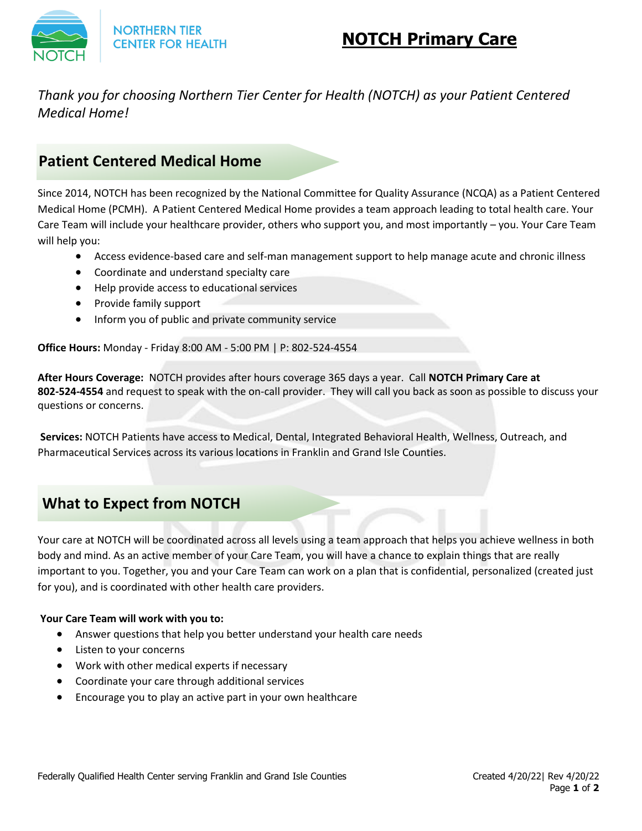

**NORTHERN TIER CENTER FOR HEALTH** 

# **NOTCH Primary Care**

#### *Thank you for choosing Northern Tier Center for Health (NOTCH) as your Patient Centered Medical Home!*

#### **Patient Centered Medical Home**

Since 2014, NOTCH has been recognized by the National Committee for Quality Assurance (NCQA) as a Patient Centered Medical Home (PCMH). A Patient Centered Medical Home provides a team approach leading to total health care. Your Care Team will include your healthcare provider, others who support you, and most importantly – you. Your Care Team will help you:

- Access evidence-based care and self-man management support to help manage acute and chronic illness
- Coordinate and understand specialty care
- Help provide access to educational services
- Provide family support
- Inform you of public and private community service

**Office Hours:** Monday - Friday 8:00 AM - 5:00 PM | P: 802-524-4554

**After Hours Coverage:** NOTCH provides after hours coverage 365 days a year. Call **NOTCH Primary Care at 802-524-4554** and request to speak with the on-call provider. They will call you back as soon as possible to discuss your questions or concerns.

**Services:** NOTCH Patients have access to Medical, Dental, Integrated Behavioral Health, Wellness, Outreach, and Pharmaceutical Services across its various locations in Franklin and Grand Isle Counties.

## **What to Expect from NOTCH**

Your care at NOTCH will be coordinated across all levels using a team approach that helps you achieve wellness in both body and mind. As an active member of your Care Team, you will have a chance to explain things that are really important to you. Together, you and your Care Team can work on a plan that is confidential, personalized (created just for you), and is coordinated with other health care providers.

#### **Your Care Team will work with you to:**

- Answer questions that help you better understand your health care needs
- Listen to your concerns
- Work with other medical experts if necessary
- Coordinate your care through additional services
- Encourage you to play an active part in your own healthcare